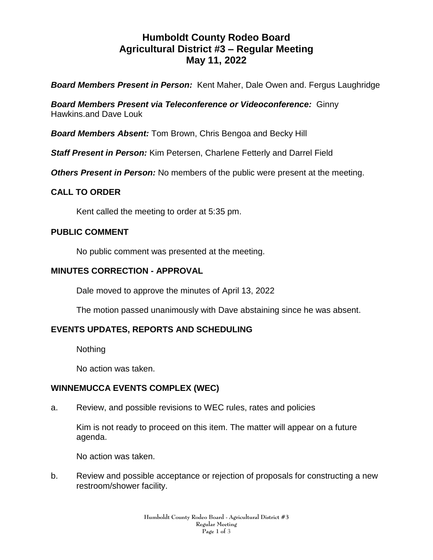# **Humboldt County Rodeo Board Agricultural District #3 – Regular Meeting May 11, 2022**

*Board Members Present in Person:* Kent Maher, Dale Owen and. Fergus Laughridge

*Board Members Present via Teleconference or Videoconference:* Ginny Hawkins.and Dave Louk

*Board Members Absent:* Tom Brown, Chris Bengoa and Becky Hill

*Staff Present in Person:* Kim Petersen, Charlene Fetterly and Darrel Field

**Others Present in Person:** No members of the public were present at the meeting.

## **CALL TO ORDER**

Kent called the meeting to order at 5:35 pm.

#### **PUBLIC COMMENT**

No public comment was presented at the meeting.

#### **MINUTES CORRECTION - APPROVAL**

Dale moved to approve the minutes of April 13, 2022

The motion passed unanimously with Dave abstaining since he was absent.

# **EVENTS UPDATES, REPORTS AND SCHEDULING**

Nothing

No action was taken.

#### **WINNEMUCCA EVENTS COMPLEX (WEC)**

a. Review, and possible revisions to WEC rules, rates and policies

Kim is not ready to proceed on this item. The matter will appear on a future agenda.

No action was taken.

b. Review and possible acceptance or rejection of proposals for constructing a new restroom/shower facility.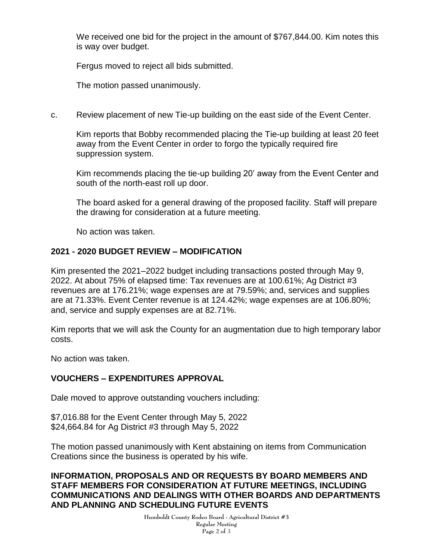We received one bid for the project in the amount of \$767,844.00. Kim notes this is way over budget.

Fergus moved to reject all bids submitted.

The motion passed unanimously.

c. Review placement of new Tie-up building on the east side of the Event Center.

Kim reports that Bobby recommended placing the Tie-up building at least 20 feet away from the Event Center in order to forgo the typically required fire suppression system.

Kim recommends placing the tie-up building 20' away from the Event Center and south of the north-east roll up door.

The board asked for a general drawing of the proposed facility. Staff will prepare the drawing for consideration at a future meeting.

No action was taken.

#### **2021 - 2020 BUDGET REVIEW – MODIFICATION**

Kim presented the 2021–2022 budget including transactions posted through May 9, 2022. At about 75% of elapsed time: Tax revenues are at 100.61%; Ag District #3 revenues are at 176.21%; wage expenses are at 79.59%; and, services and supplies are at 71.33%. Event Center revenue is at 124.42%; wage expenses are at 106.80%; and, service and supply expenses are at 82.71%.

Kim reports that we will ask the County for an augmentation due to high temporary labor costs.

No action was taken.

# **VOUCHERS – EXPENDITURES APPROVAL**

Dale moved to approve outstanding vouchers including:

\$7,016.88 for the Event Center through May 5, 2022 \$24,664.84 for Ag District #3 through May 5, 2022

The motion passed unanimously with Kent abstaining on items from Communication Creations since the business is operated by his wife.

### **INFORMATION, PROPOSALS AND OR REQUESTS BY BOARD MEMBERS AND STAFF MEMBERS FOR CONSIDERATION AT FUTURE MEETINGS, INCLUDING COMMUNICATIONS AND DEALINGS WITH OTHER BOARDS AND DEPARTMENTS AND PLANNING AND SCHEDULING FUTURE EVENTS**

**Humboldt County Rodeo Board - Agricultural District #3 Regular Meeting Page 2 of** 3